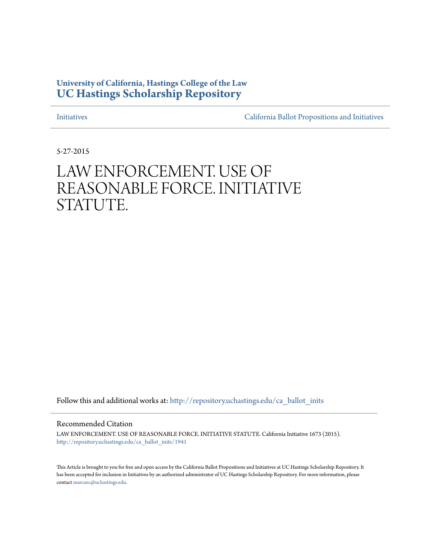## **University of California, Hastings College of the Law [UC Hastings Scholarship Repository](http://repository.uchastings.edu?utm_source=repository.uchastings.edu%2Fca_ballot_inits%2F1941&utm_medium=PDF&utm_campaign=PDFCoverPages)**

[Initiatives](http://repository.uchastings.edu/ca_ballot_inits?utm_source=repository.uchastings.edu%2Fca_ballot_inits%2F1941&utm_medium=PDF&utm_campaign=PDFCoverPages) [California Ballot Propositions and Initiatives](http://repository.uchastings.edu/ca_ballots?utm_source=repository.uchastings.edu%2Fca_ballot_inits%2F1941&utm_medium=PDF&utm_campaign=PDFCoverPages)

5-27-2015

## LAW ENFORCEMENT. USE OF REASONABLE FORCE. INITIATIVE STATUTE.

Follow this and additional works at: [http://repository.uchastings.edu/ca\\_ballot\\_inits](http://repository.uchastings.edu/ca_ballot_inits?utm_source=repository.uchastings.edu%2Fca_ballot_inits%2F1941&utm_medium=PDF&utm_campaign=PDFCoverPages)

Recommended Citation

LAW ENFORCEMENT. USE OF REASONABLE FORCE. INITIATIVE STATUTE. California Initiative 1673 (2015). [http://repository.uchastings.edu/ca\\_ballot\\_inits/1941](http://repository.uchastings.edu/ca_ballot_inits/1941?utm_source=repository.uchastings.edu%2Fca_ballot_inits%2F1941&utm_medium=PDF&utm_campaign=PDFCoverPages)

This Article is brought to you for free and open access by the California Ballot Propositions and Initiatives at UC Hastings Scholarship Repository. It has been accepted for inclusion in Initiatives by an authorized administrator of UC Hastings Scholarship Repository. For more information, please contact [marcusc@uchastings.edu](mailto:marcusc@uchastings.edu).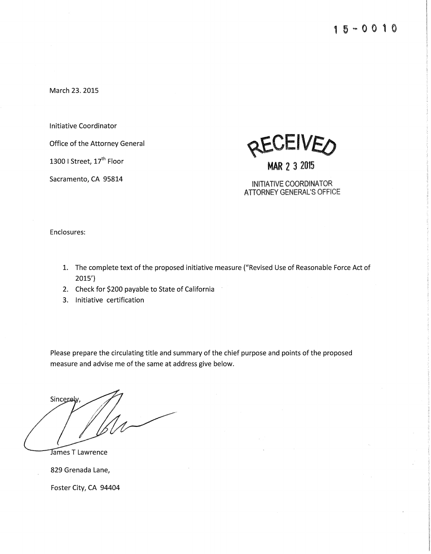March 23. 2015

Initiative Coordinator

Office of the Attorney General

1300 I Street, 17<sup>th</sup> Floor

Sacramento, CA 95814



**MAR** 2 3 2015

INITIATIVE COORDINATOR ATIORNEY GENERAL'S OFFICE

Enclosures:

- 1. The complete text of the proposed initiative measure ("Revised Use of Reasonable Force Act of 2015')
- 2. Check for \$200 payable to State of California
- 3. Initiative certification

Please prepare the circulating title and summary of the chief purpose and points of the proposed measure and advise me of the same at address give below.

Sincerely

**James T Lawrence** 

829 Grenada Lane,

Foster City, CA 94404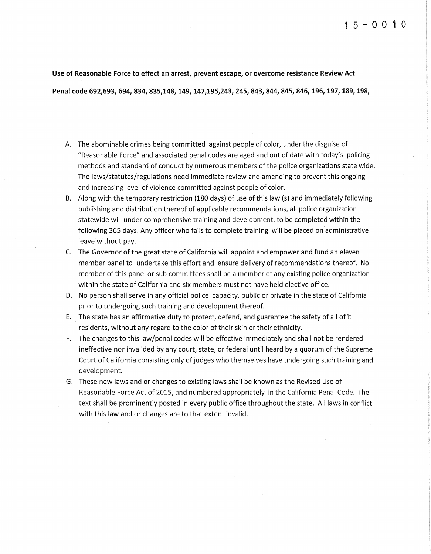**Use of Reasonable Force to effect an** *arrest,* **prevent escape, or overcome resistance Review Act**  Penal code 692,693, 694, 834, 835,148, 149, 147,195,243, 245, 843, 844, 845, 846, 196, 197, 189, 198,

- A. The abominable crimes being committed against people of color, under the disguise of "Reasonable Force" and associated penal codes are aged and out of date with today's policing methods and standard of conduct by numerous members of the police organizations state wide. The laws/statutes/regulations need immediate review and amending to prevent this ongoing and increasing level of violence committed against people of color.
- B. Along with the temporary restriction (180 days) of use of this law (s) and immediately following publishing and distribution thereof of applicable recommendations, all police organization statewide will under comprehensive training and development, to be completed within the following 365 days. Any officer who fails to complete training will be placed on administrative leave without pay.
- C. The Governor of the great state of California will appoint and empower and fund an eleven member panel to undertake this effort and ensure delivery of recommendations thereof. No member of this panel or sub committees shall be a member of any existing police organization within the state of California and six members must not have held elective office.
- D. No person shall serve in any official police capacity, public or private in the state of California prior to undergoing such training and development thereof.
- E. The state has an affirmative duty to protect, defend, and guarantee the safety of all of it residents, without any regard to the color of their skin or their ethnicity.
- F. The changes to this law/penal codes will be effective immediately and shall not be rendered ineffective nor invalided by any court, *state,* or federal until heard by a quorum of the Supreme Court of California consisting only of judges who themselves have undergoing such training and development.
- G. These new laws and or changes to existing laws shall be known as the Revised Use of Reasonable Force Act of 2015, and numbered appropriately in the California Penal Code. The text shall be prominently posted in every public office throughout the state. All laws in conflict with this law and or changes are to that extent invalid.